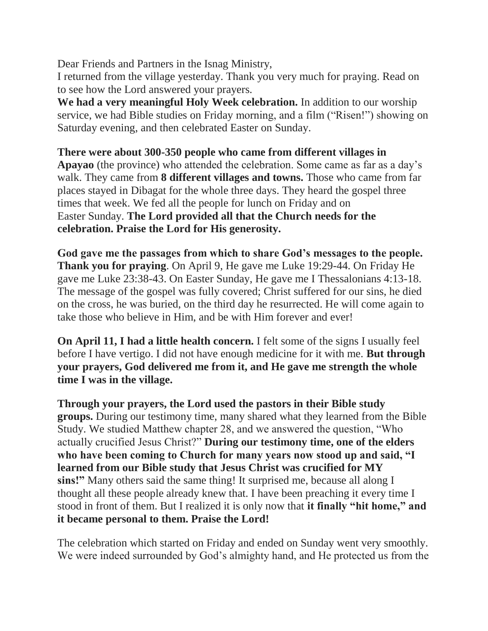Dear Friends and Partners in the Isnag Ministry,

I returned from the village yesterday. Thank you very much for praying. Read on to see how the Lord answered your prayers.

**We had a very meaningful Holy Week celebration.** In addition to our worship service, we had Bible studies on Friday morning, and a film ("Risen!") showing on Saturday evening, and then celebrated Easter on Sunday.

## **There were about 300-350 people who came from different villages in**

**Apayao** (the province) who attended the celebration. Some came as far as a day's walk. They came from **8 different villages and towns.** Those who came from far places stayed in Dibagat for the whole three days. They heard the gospel three times that week. We fed all the people for lunch on Friday and on Easter Sunday. **The Lord provided all that the Church needs for the celebration. Praise the Lord for His generosity.**

**God gave me the passages from which to share God's messages to the people. Thank you for praying**. On April 9, He gave me Luke 19:29-44. On Friday He gave me Luke 23:38-43. On Easter Sunday, He gave me I Thessalonians 4:13-18. The message of the gospel was fully covered; Christ suffered for our sins, he died on the cross, he was buried, on the third day he resurrected. He will come again to take those who believe in Him, and be with Him forever and ever!

**On April 11, I had a little health concern.** I felt some of the signs I usually feel before I have vertigo. I did not have enough medicine for it with me. **But through your prayers, God delivered me from it, and He gave me strength the whole time I was in the village.**

**Through your prayers, the Lord used the pastors in their Bible study groups.** During our testimony time, many shared what they learned from the Bible Study. We studied Matthew chapter 28, and we answered the question, "Who actually crucified Jesus Christ?" **During our testimony time, one of the elders who have been coming to Church for many years now stood up and said, "I learned from our Bible study that Jesus Christ was crucified for MY sins!"** Many others said the same thing! It surprised me, because all along I thought all these people already knew that. I have been preaching it every time I stood in front of them. But I realized it is only now that **it finally "hit home," and it became personal to them. Praise the Lord!**

The celebration which started on Friday and ended on Sunday went very smoothly. We were indeed surrounded by God's almighty hand, and He protected us from the